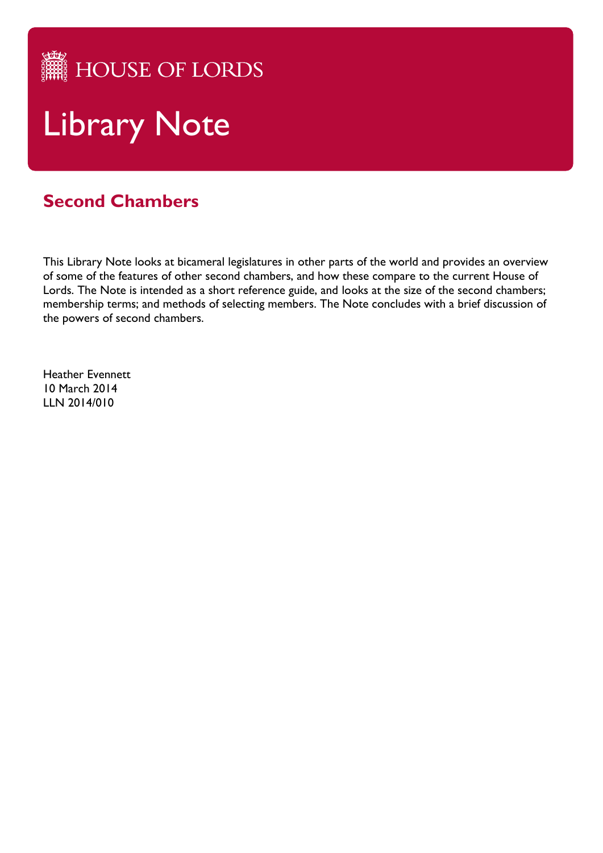HOUSE OF LORDS

# Library Note

# **Second Chambers**

This Library Note looks at bicameral legislatures in other parts of the world and provides an overview of some of the features of other second chambers, and how these compare to the current House of Lords. The Note is intended as a short reference guide, and looks at the size of the second chambers; membership terms; and methods of selecting members. The Note concludes with a brief discussion of the powers of second chambers.

Heather Evennett 10 March 2014 LLN 2014/010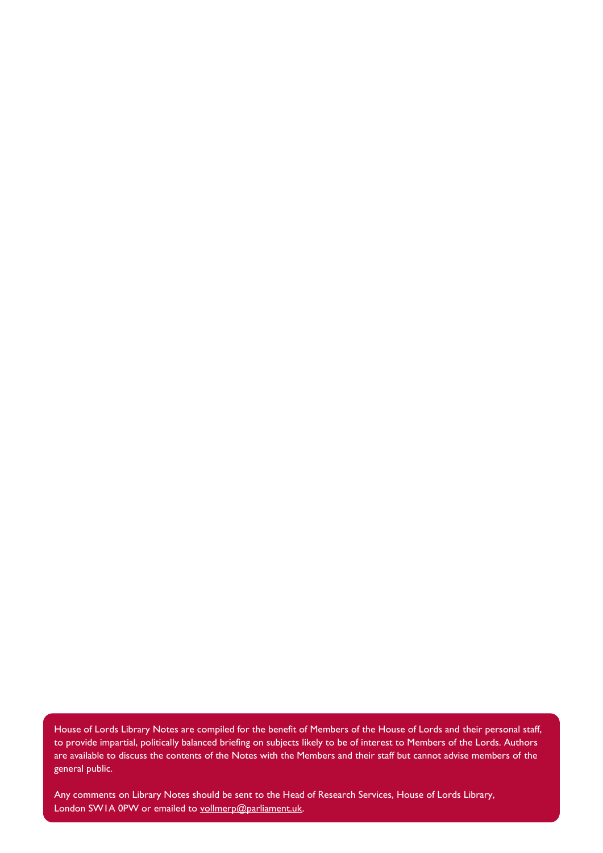House of Lords Library Notes are compiled for the benefit of Members of the House of Lords and their personal staff, to provide impartial, politically balanced briefing on subjects likely to be of interest to Members of the Lords. Authors are available to discuss the contents of the Notes with the Members and their staff but cannot advise members of the general public.

Any comments on Library Notes should be sent to the Head of Research Services, House of Lords Library, London SW1A 0PW or emailed to [vollmerp@parliament.uk.](mailto:vollmerp@parliament.uk)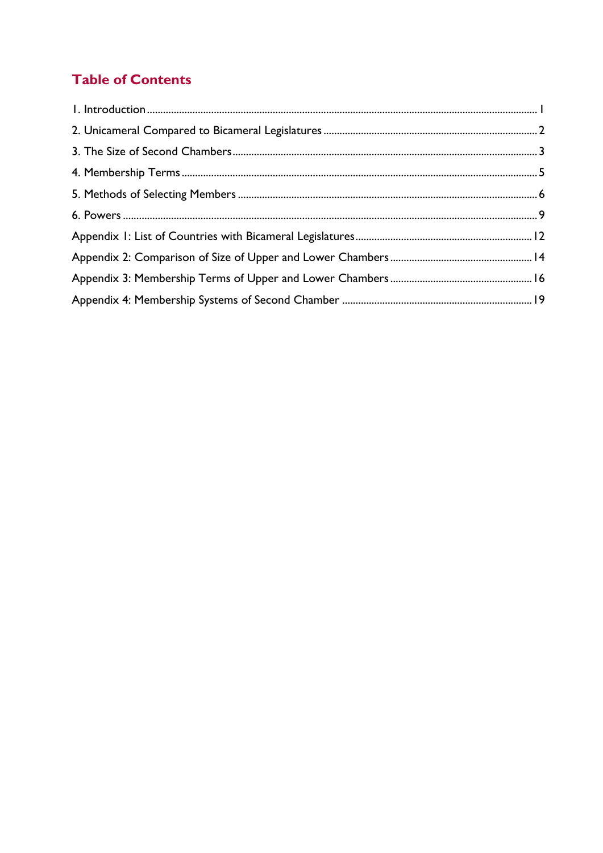## **Table of Contents**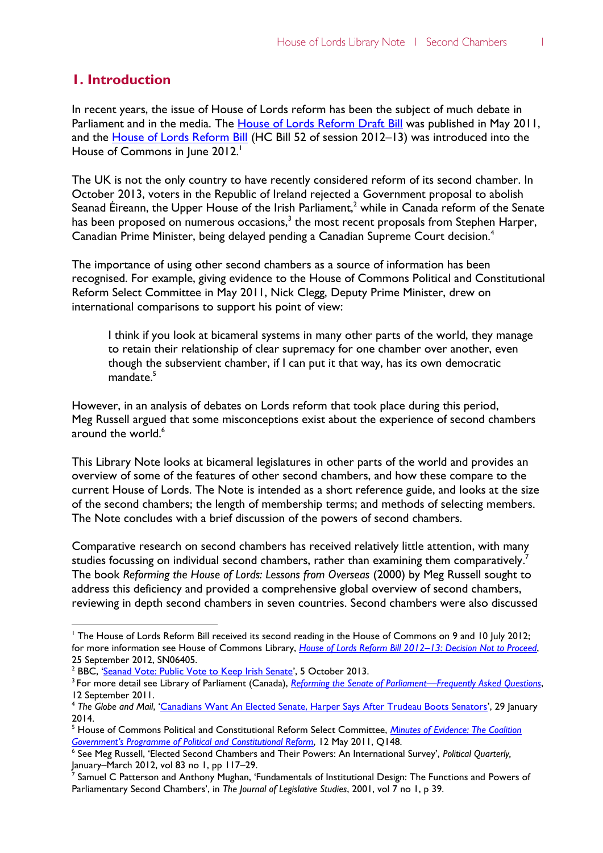## **1. Introduction**

 $\overline{a}$ 

In recent years, the issue of House of Lords reform has been the subject of much debate in Parliament and in the media. The **House of Lords Reform Draft Bill** was published in May 2011, and the [House of Lords Reform Bill](http://www.publications.parliament.uk/pa/bills/cbill/2012-2013/0052/13052.pdf) (HC Bill 52 of session 2012–13) was introduced into the House of Commons in June 2012.

The UK is not the only country to have recently considered reform of its second chamber. In October 2013, voters in the Republic of Ireland rejected a Government proposal to abolish Seanad Éireann, the Upper House of the Irish Parliament,<sup>2</sup> while in Canada reform of the Senate has been proposed on numerous occasions, $^3$  the most recent proposals from Stephen Harper, Canadian Prime Minister, being delayed pending a Canadian Supreme Court decision.<sup>4</sup>

The importance of using other second chambers as a source of information has been recognised. For example, giving evidence to the House of Commons Political and Constitutional Reform Select Committee in May 2011, Nick Clegg, Deputy Prime Minister, drew on international comparisons to support his point of view:

I think if you look at bicameral systems in many other parts of the world, they manage to retain their relationship of clear supremacy for one chamber over another, even though the subservient chamber, if I can put it that way, has its own democratic mandate.<sup>5</sup>

However, in an analysis of debates on Lords reform that took place during this period, Meg Russell argued that some misconceptions exist about the experience of second chambers around the world. 6

This Library Note looks at bicameral legislatures in other parts of the world and provides an overview of some of the features of other second chambers, and how these compare to the current House of Lords. The Note is intended as a short reference guide, and looks at the size of the second chambers; the length of membership terms; and methods of selecting members. The Note concludes with a brief discussion of the powers of second chambers.

Comparative research on second chambers has received relatively little attention, with many studies focussing on individual second chambers, rather than examining them comparatively.<sup>7</sup> The book *Reforming the House of Lords: Lessons from Overseas* (2000) by Meg Russell sought to address this deficiency and provided a comprehensive global overview of second chambers, reviewing in depth second chambers in seven countries. Second chambers were also discussed

<sup>&</sup>lt;sup>1</sup> The House of Lords Reform Bill received its second reading in the House of Commons on 9 and 10 July 2012; for more information see House of Commons Library, *[House of Lords Reform Bill 2012](http://www.parliament.uk/briefing-papers/SN06405/house-of-lords-reform-bill-201213-decision-not-to-proceed)–13: Decision Not to Proceed*, 25 September 2012, SN06405.

<sup>&</sup>lt;sup>2</sup> BBC, '[Seanad Vote: Public Vote to Keep Irish Senate](http://www.bbc.co.uk/news/world-europe-24404157)', 5 October 2013.

<sup>3</sup> For more detail see Library of Parliament (Canada), *[Reforming the Senate of Parliament](http://www.parl.gc.ca/content/lop/researchpublications/2011-83-e.pdf)—Frequently Asked Questions*, 12 September 2011.

<sup>4</sup> *The Globe and Mail*, '[Canadians Want An Elected Senate, Harper Says After Trudeau Boots Senators](http://www.theglobeandmail.com/news/politics/trudeaus-senate-plan-amounts-to-cosmetic-change-pmo-says/article16570644/)', 29 January 2014.

<sup>5</sup> House of Commons Political and Constitutional Reform Select Committee, *[Minutes of Evidence: The Coalition](http://www.publications.parliament.uk/pa/cm201012/cmselect/cmpolcon/358-ii/11051201.htm)  Government'[s Programme of Political and Constitutional Reform](http://www.publications.parliament.uk/pa/cm201012/cmselect/cmpolcon/358-ii/11051201.htm)*, 12 May 2011, Q148.

<sup>6</sup> See Meg Russell, 'Elected Second Chambers and Their Powers: An International Survey', *Political Quarterly,* January–March 2012, vol 83 no 1, pp 117–29.

<sup>&</sup>lt;sup>7</sup> Samuel C Patterson and Anthony Mughan, 'Fundamentals of Institutional Design: The Functions and Powers of Parliamentary Second Chambers', in *The Journal of Legislative Studies*, 2001, vol 7 no 1, p 39.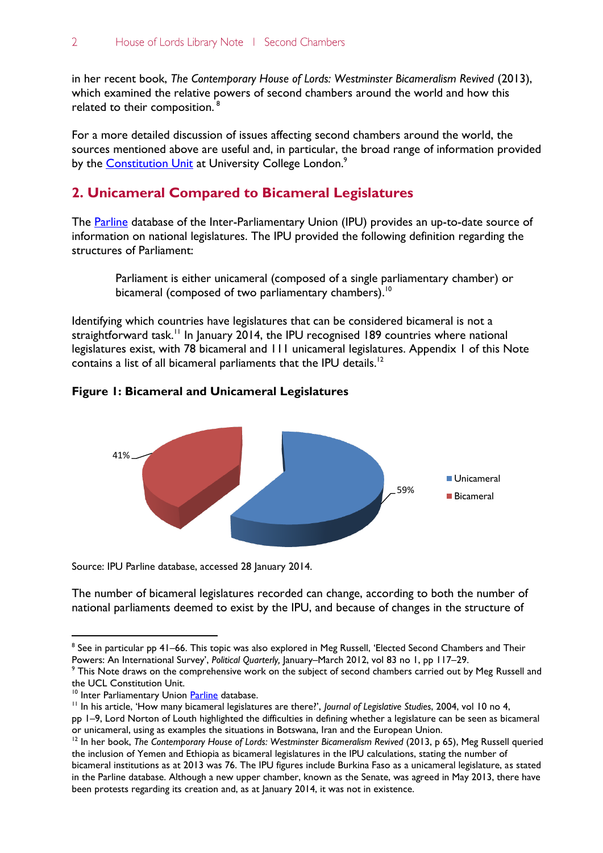in her recent book, *The Contemporary House of Lords: Westminster Bicameralism Revived* (2013), which examined the relative powers of second chambers around the world and how this related to their composition.<sup>8</sup>

For a more detailed discussion of issues affecting second chambers around the world, the sources mentioned above are useful and, in particular, the broad range of information provided by the <u>Constitution Unit</u> at University College London.<sup>9</sup>

## **2. Unicameral Compared to Bicameral Legislatures**

The [Parline](http://www.ipu.org/parline-e/parlinesearch.asp) database of the Inter-Parliamentary Union (IPU) provides an up-to-date source of information on national legislatures. The IPU provided the following definition regarding the structures of Parliament:

Parliament is either unicameral (composed of a single parliamentary chamber) or bicameral (composed of two parliamentary chambers).<sup>10</sup>

Identifying which countries have legislatures that can be considered bicameral is not a straightforward task.<sup>11</sup> In January 2014, the IPU recognised 189 countries where national legislatures exist, with 78 bicameral and 111 unicameral legislatures. Appendix 1 of this Note contains a list of all bicameral parliaments that the IPU details.<sup>12</sup>





Source: IPU Parline database, accessed 28 January 2014.

The number of bicameral legislatures recorded can change, according to both the number of national parliaments deemed to exist by the IPU, and because of changes in the structure of

 $^8$  See in particular pp 41–66. This topic was also explored in Meg Russell, 'Elected Second Chambers and Their Powers: An International Survey', *Political Quarterly,* January–March 2012, vol 83 no 1, pp 117–29.

<sup>&</sup>lt;sup>9</sup> This Note draws on the comprehensive work on the subject of second chambers carried out by Meg Russell and the UCL Constitution Unit.

<sup>&</sup>lt;sup>10</sup> Inter Parliamentary Union [Parline](http://www.ipu.org/parline-e/parlinesearch.asp) database.

<sup>11</sup> In his article, 'How many bicameral legislatures are there?', *Journal of Legislative Studies*, 2004, vol 10 no 4,

pp 1–9, Lord Norton of Louth highlighted the difficulties in defining whether a legislature can be seen as bicameral or unicameral, using as examples the situations in Botswana, Iran and the European Union.

<sup>&</sup>lt;sup>12</sup> In her book, *The Contemporary House of Lords: Westminster Bicameralism Revived (2013, p 65), Meg Russell queried* the inclusion of Yemen and Ethiopia as bicameral legislatures in the IPU calculations, stating the number of bicameral institutions as at 2013 was 76. The IPU figures include Burkina Faso as a unicameral legislature, as stated in the Parline database. Although a new upper chamber, known as the Senate, was agreed in May 2013, there have been protests regarding its creation and, as at January 2014, it was not in existence.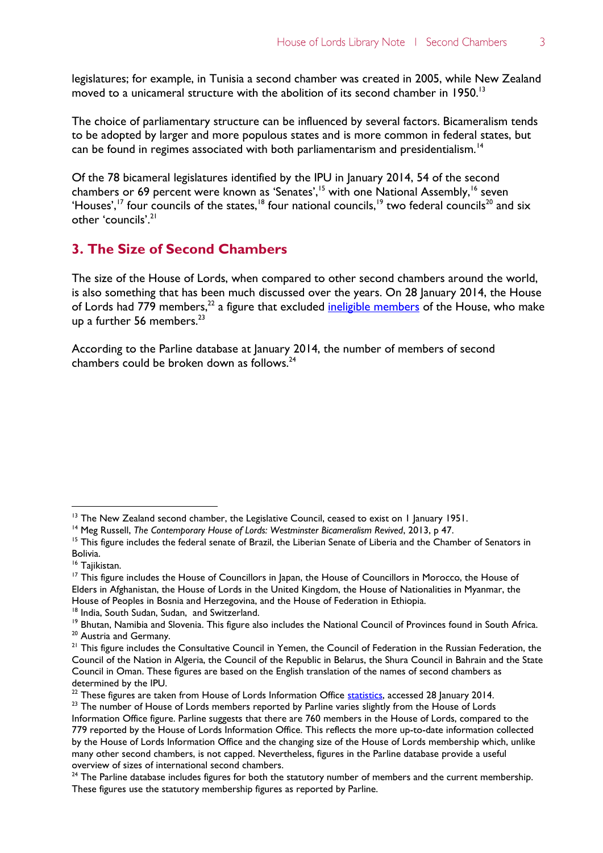$\overline{3}$ 

legislatures; for example, in Tunisia a second chamber was created in 2005, while New Zealand moved to a unicameral structure with the abolition of its second chamber in 1950.<sup>13</sup>

The choice of parliamentary structure can be influenced by several factors. Bicameralism tends to be adopted by larger and more populous states and is more common in federal states, but can be found in regimes associated with both parliamentarism and presidentialism.<sup>14</sup>

Of the 78 bicameral legislatures identified by the IPU in January 2014, 54 of the second chambers or 69 percent were known as 'Senates',<sup>15</sup> with one National Assembly,<sup>16</sup> seven 'Houses',<sup>17</sup> four councils of the states,<sup>18</sup> four national councils,<sup>19</sup> two federal councils<sup>20</sup> and six other 'councils'.<sup>21</sup>

## **3. The Size of Second Chambers**

The size of the House of Lords, when compared to other second chambers around the world, is also something that has been much discussed over the years. On 28 January 2014, the House of Lords had 779 members,<sup>22</sup> a figure that excluded <u>ineligible members</u> of the House, who make up a further  $56$  members.<sup>23</sup>

According to the Parline database at January 2014, the number of members of second chambers could be broken down as follows. $24$ 

 $\overline{a}$ 

<sup>18</sup> India, South Sudan, Sudan, and Switzerland.

<sup>&</sup>lt;sup>13</sup> The New Zealand second chamber, the Legislative Council, ceased to exist on 1 January 1951.

<sup>14</sup> Meg Russell, *The Contemporary House of Lords: Westminster Bicameralism Revived*, 2013, p 47.

<sup>&</sup>lt;sup>15</sup> This figure includes the federal senate of Brazil, the Liberian Senate of Liberia and the Chamber of Senators in Bolivia.

<sup>&</sup>lt;sup>16</sup> Tajikistan.

<sup>&</sup>lt;sup>17</sup> This figure includes the House of Councillors in Japan, the House of Councillors in Morocco, the House of Elders in Afghanistan, the House of Lords in the United Kingdom, the House of Nationalities in Myanmar, the House of Peoples in Bosnia and Herzegovina, and the House of Federation in Ethiopia.

<sup>&</sup>lt;sup>19</sup> Bhutan, Namibia and Slovenia. This figure also includes the National Council of Provinces found in South Africa. <sup>20</sup> Austria and Germany.

 $21$  This figure includes the Consultative Council in Yemen, the Council of Federation in the Russian Federation, the Council of the Nation in Algeria, the Council of the Republic in Belarus, the Shura Council in Bahrain and the State Council in Oman. These figures are based on the English translation of the names of second chambers as determined by the IPU.

 $22$  These figures are taken from House of Lords Information Office [statistics,](http://www.parliament.uk/mps-lords-and-offices/lords/composition-of-the-lords/) accessed 28 January 2014.

<sup>&</sup>lt;sup>23</sup> The number of House of Lords members reported by Parline varies slightly from the House of Lords Information Office figure. Parline suggests that there are 760 members in the House of Lords, compared to the 779 reported by the House of Lords Information Office. This reflects the more up-to-date information collected by the House of Lords Information Office and the changing size of the House of Lords membership which, unlike many other second chambers, is not capped. Nevertheless, figures in the Parline database provide a useful overview of sizes of international second chambers.

<sup>&</sup>lt;sup>24</sup> The Parline database includes figures for both the statutory number of members and the current membership. These figures use the statutory membership figures as reported by Parline.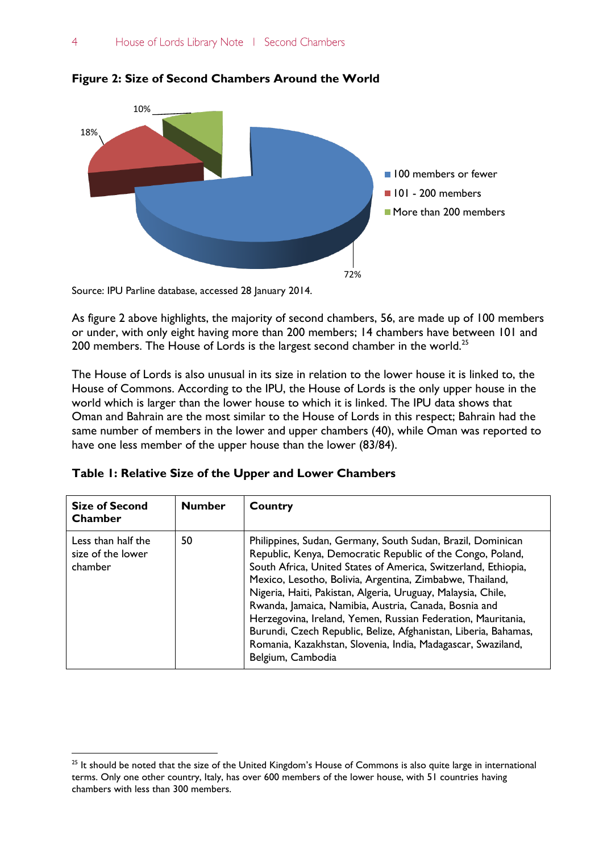

**Figure 2: Size of Second Chambers Around the World**

Source: IPU Parline database, accessed 28 January 2014.

 $\overline{a}$ 

As figure 2 above highlights, the majority of second chambers, 56, are made up of 100 members or under, with only eight having more than 200 members; 14 chambers have between 101 and 200 members. The House of Lords is the largest second chamber in the world.<sup>25</sup>

The House of Lords is also unusual in its size in relation to the lower house it is linked to, the House of Commons. According to the IPU, the House of Lords is the only upper house in the world which is larger than the lower house to which it is linked. The IPU data shows that Oman and Bahrain are the most similar to the House of Lords in this respect; Bahrain had the same number of members in the lower and upper chambers (40), while Oman was reported to have one less member of the upper house than the lower (83/84).

| <b>Size of Second</b><br>Chamber                   | <b>Number</b> | Country                                                                                                                                                                                                                                                                                                                                                                                                                                                                                                                                                                                                  |
|----------------------------------------------------|---------------|----------------------------------------------------------------------------------------------------------------------------------------------------------------------------------------------------------------------------------------------------------------------------------------------------------------------------------------------------------------------------------------------------------------------------------------------------------------------------------------------------------------------------------------------------------------------------------------------------------|
| Less than half the<br>size of the lower<br>chamber | 50            | Philippines, Sudan, Germany, South Sudan, Brazil, Dominican<br>Republic, Kenya, Democratic Republic of the Congo, Poland,<br>South Africa, United States of America, Switzerland, Ethiopia,<br>Mexico, Lesotho, Bolivia, Argentina, Zimbabwe, Thailand,<br>Nigeria, Haiti, Pakistan, Algeria, Uruguay, Malaysia, Chile,<br>Rwanda, Jamaica, Namibia, Austria, Canada, Bosnia and<br>Herzegovina, Ireland, Yemen, Russian Federation, Mauritania,<br>Burundi, Czech Republic, Belize, Afghanistan, Liberia, Bahamas,<br>Romania, Kazakhstan, Slovenia, India, Madagascar, Swaziland,<br>Belgium, Cambodia |

|  | Table 1: Relative Size of the Upper and Lower Chambers |
|--|--------------------------------------------------------|
|  |                                                        |

 $25$  It should be noted that the size of the United Kingdom's House of Commons is also quite large in international terms. Only one other country, Italy, has over 600 members of the lower house, with 51 countries having chambers with less than 300 members.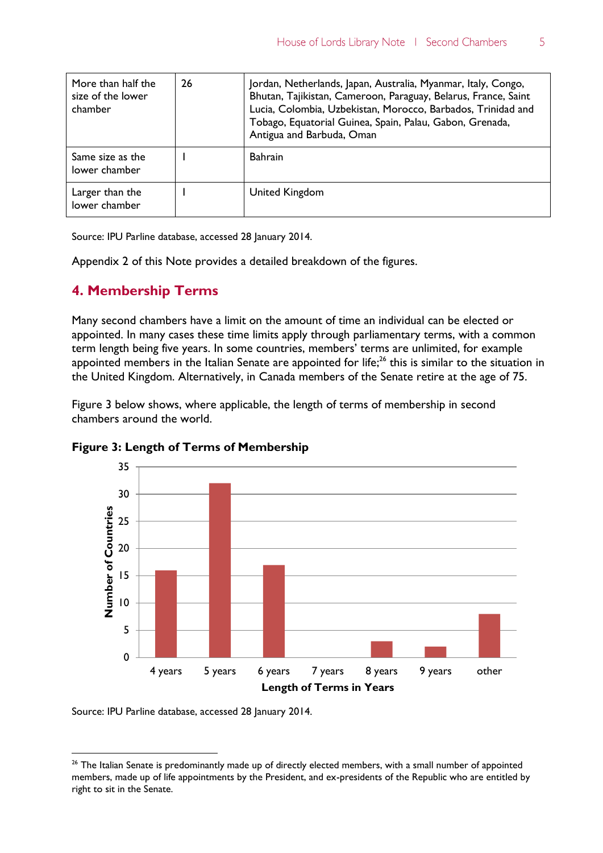| More than half the<br>size of the lower<br>chamber | 26 | Jordan, Netherlands, Japan, Australia, Myanmar, Italy, Congo,<br>Bhutan, Tajikistan, Cameroon, Paraguay, Belarus, France, Saint<br>Lucia, Colombia, Uzbekistan, Morocco, Barbados, Trinidad and<br>Tobago, Equatorial Guinea, Spain, Palau, Gabon, Grenada,<br>Antigua and Barbuda, Oman |
|----------------------------------------------------|----|------------------------------------------------------------------------------------------------------------------------------------------------------------------------------------------------------------------------------------------------------------------------------------------|
| Same size as the<br>lower chamber                  |    | <b>Bahrain</b>                                                                                                                                                                                                                                                                           |
| Larger than the<br>lower chamber                   |    | United Kingdom                                                                                                                                                                                                                                                                           |

Source: IPU Parline database, accessed 28 January 2014.

Appendix 2 of this Note provides a detailed breakdown of the figures.

#### **4. Membership Terms**

Many second chambers have a limit on the amount of time an individual can be elected or appointed. In many cases these time limits apply through parliamentary terms, with a common term length being five years. In some countries, members' terms are unlimited, for example appointed members in the Italian Senate are appointed for life;<sup>26</sup> this is similar to the situation in the United Kingdom. Alternatively, in Canada members of the Senate retire at the age of 75.

Figure 3 below shows, where applicable, the length of terms of membership in second chambers around the world.





Source: IPU Parline database, accessed 28 January 2014.

 $26$  The Italian Senate is predominantly made up of directly elected members, with a small number of appointed members, made up of life appointments by the President, and ex-presidents of the Republic who are entitled by right to sit in the Senate.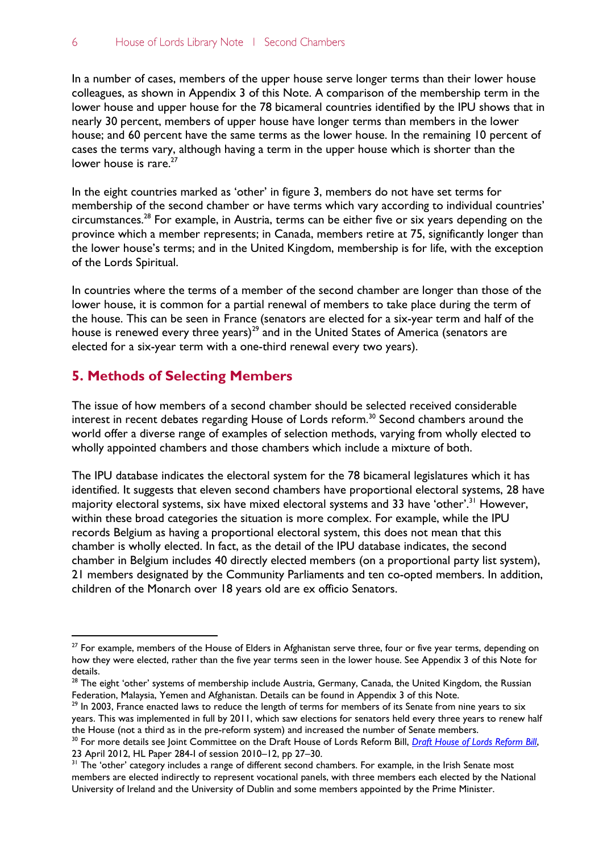In a number of cases, members of the upper house serve longer terms than their lower house colleagues, as shown in Appendix 3 of this Note. A comparison of the membership term in the lower house and upper house for the 78 bicameral countries identified by the IPU shows that in nearly 30 percent, members of upper house have longer terms than members in the lower house; and 60 percent have the same terms as the lower house. In the remaining 10 percent of cases the terms vary, although having a term in the upper house which is shorter than the lower house is rare.<sup>27</sup>

In the eight countries marked as 'other' in figure 3, members do not have set terms for membership of the second chamber or have terms which vary according to individual countries' circumstances.<sup>28</sup> For example, in Austria, terms can be either five or six years depending on the province which a member represents; in Canada, members retire at 75, significantly longer than the lower house's terms; and in the United Kingdom, membership is for life, with the exception of the Lords Spiritual.

In countries where the terms of a member of the second chamber are longer than those of the lower house, it is common for a partial renewal of members to take place during the term of the house. This can be seen in France (senators are elected for a six-year term and half of the house is renewed every three years)<sup>29</sup> and in the United States of America (senators are elected for a six-year term with a one-third renewal every two years).

### **5. Methods of Selecting Members**

 $\overline{a}$ 

The issue of how members of a second chamber should be selected received considerable interest in recent debates regarding House of Lords reform.<sup>30</sup> Second chambers around the world offer a diverse range of examples of selection methods, varying from wholly elected to wholly appointed chambers and those chambers which include a mixture of both.

The IPU database indicates the electoral system for the 78 bicameral legislatures which it has identified. It suggests that eleven second chambers have proportional electoral systems, 28 have majority electoral systems, six have mixed electoral systems and 33 have 'other'.<sup>31</sup> However, within these broad categories the situation is more complex. For example, while the IPU records Belgium as having a proportional electoral system, this does not mean that this chamber is wholly elected. In fact, as the detail of the IPU database indicates, the second chamber in Belgium includes 40 directly elected members (on a proportional party list system), 21 members designated by the Community Parliaments and ten co-opted members. In addition, children of the Monarch over 18 years old are ex officio Senators.

<sup>&</sup>lt;sup>27</sup> For example, members of the House of Elders in Afghanistan serve three, four or five year terms, depending on how they were elected, rather than the five year terms seen in the lower house. See Appendix 3 of this Note for details.

<sup>&</sup>lt;sup>28</sup> The eight 'other' systems of membership include Austria, Germany, Canada, the United Kingdom, the Russian Federation, Malaysia, Yemen and Afghanistan. Details can be found in Appendix 3 of this Note.

<sup>&</sup>lt;sup>29</sup> In 2003, France enacted laws to reduce the length of terms for members of its Senate from nine years to six years. This was implemented in full by 2011, which saw elections for senators held every three years to renew half the House (not a third as in the pre-reform system) and increased the number of Senate members.

<sup>&</sup>lt;sup>30</sup> For more details see Joint Committee on the [Draft House of Lords Reform Bill](http://www.publications.parliament.uk/pa/jt201012/jtselect/jtdraftref/284/284i.pdf), *Draft House of Lords Reform Bill*, 23 April 2012, HL Paper 284-I of session 2010–12, pp 27–30.

<sup>&</sup>lt;sup>31</sup> The 'other' category includes a range of different second chambers. For example, in the Irish Senate most members are elected indirectly to represent vocational panels, with three members each elected by the National University of Ireland and the University of Dublin and some members appointed by the Prime Minister.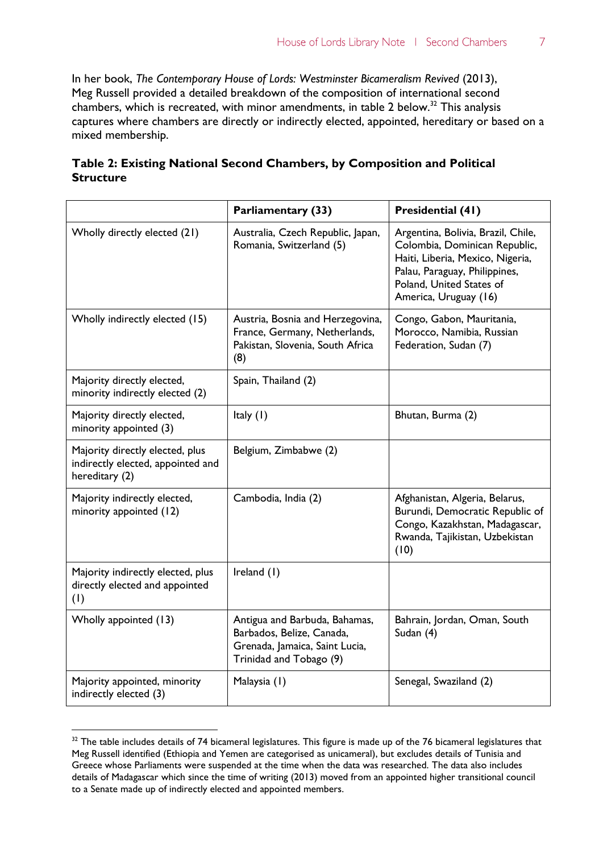In her book, *The Contemporary House of Lords: Westminster Bicameralism Revived* (2013), Meg Russell provided a detailed breakdown of the composition of international second chambers, which is recreated, with minor amendments, in table 2 below.<sup>32</sup> This analysis captures where chambers are directly or indirectly elected, appointed, hereditary or based on a mixed membership.

|                                                                                        | Parliamentary (33)                                                                                                      | Presidential (41)                                                                                                                                                                             |
|----------------------------------------------------------------------------------------|-------------------------------------------------------------------------------------------------------------------------|-----------------------------------------------------------------------------------------------------------------------------------------------------------------------------------------------|
| Wholly directly elected (21)                                                           | Australia, Czech Republic, Japan,<br>Romania, Switzerland (5)                                                           | Argentina, Bolivia, Brazil, Chile,<br>Colombia, Dominican Republic,<br>Haiti, Liberia, Mexico, Nigeria,<br>Palau, Paraguay, Philippines,<br>Poland, United States of<br>America, Uruguay (16) |
| Wholly indirectly elected (15)                                                         | Austria, Bosnia and Herzegovina,<br>France, Germany, Netherlands,<br>Pakistan, Slovenia, South Africa<br>(8)            | Congo, Gabon, Mauritania,<br>Morocco, Namibia, Russian<br>Federation, Sudan (7)                                                                                                               |
| Majority directly elected,<br>minority indirectly elected (2)                          | Spain, Thailand (2)                                                                                                     |                                                                                                                                                                                               |
| Majority directly elected,<br>minority appointed (3)                                   | Italy (1)                                                                                                               | Bhutan, Burma (2)                                                                                                                                                                             |
| Majority directly elected, plus<br>indirectly elected, appointed and<br>hereditary (2) | Belgium, Zimbabwe (2)                                                                                                   |                                                                                                                                                                                               |
| Majority indirectly elected,<br>minority appointed (12)                                | Cambodia, India (2)                                                                                                     | Afghanistan, Algeria, Belarus,<br>Burundi, Democratic Republic of<br>Congo, Kazakhstan, Madagascar,<br>Rwanda, Tajikistan, Uzbekistan<br>(10)                                                 |
| Majority indirectly elected, plus<br>directly elected and appointed<br>(1)             | Ireland (1)                                                                                                             |                                                                                                                                                                                               |
| Wholly appointed (13)                                                                  | Antigua and Barbuda, Bahamas,<br>Barbados, Belize, Canada,<br>Grenada, Jamaica, Saint Lucia,<br>Trinidad and Tobago (9) | Bahrain, Jordan, Oman, South<br>Sudan (4)                                                                                                                                                     |
| Majority appointed, minority<br>indirectly elected (3)                                 | Malaysia (1)                                                                                                            | Senegal, Swaziland (2)                                                                                                                                                                        |

| Table 2: Existing National Second Chambers, by Composition and Political |  |
|--------------------------------------------------------------------------|--|
| Structure                                                                |  |

<sup>&</sup>lt;sup>32</sup> The table includes details of 74 bicameral legislatures. This figure is made up of the 76 bicameral legislatures that Meg Russell identified (Ethiopia and Yemen are categorised as unicameral), but excludes details of Tunisia and Greece whose Parliaments were suspended at the time when the data was researched. The data also includes details of Madagascar which since the time of writing (2013) moved from an appointed higher transitional council to a Senate made up of indirectly elected and appointed members.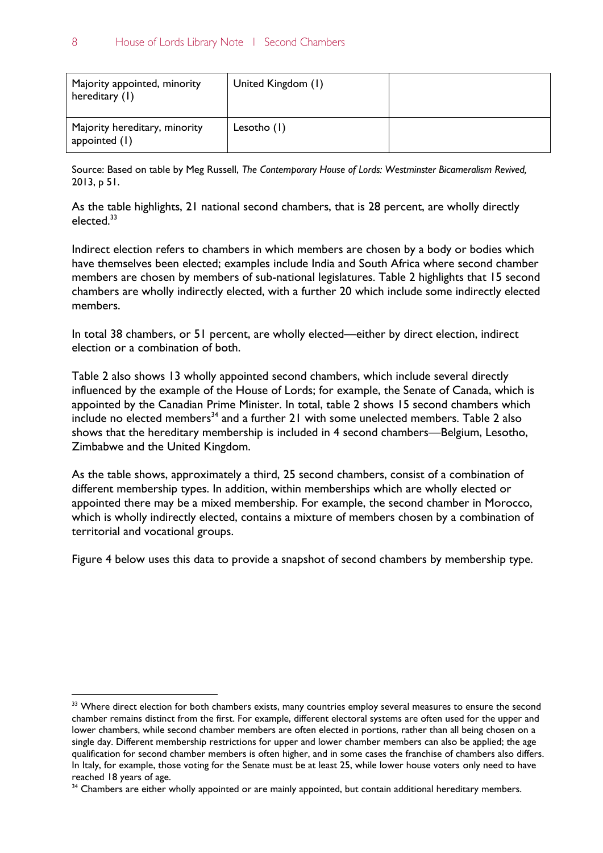| Majority appointed, minority<br>hereditary (1) | United Kingdom (1) |  |
|------------------------------------------------|--------------------|--|
| Majority hereditary, minority<br>appointed (1) | Lesotho (1)        |  |

Source: Based on table by Meg Russell, *The Contemporary House of Lords: Westminster Bicameralism Revived,* 2013, p 51.

As the table highlights, 21 national second chambers, that is 28 percent, are wholly directly elected.<sup>33</sup>

Indirect election refers to chambers in which members are chosen by a body or bodies which have themselves been elected; examples include India and South Africa where second chamber members are chosen by members of sub-national legislatures. Table 2 highlights that 15 second chambers are wholly indirectly elected, with a further 20 which include some indirectly elected members.

In total 38 chambers, or 51 percent, are wholly elected—either by direct election, indirect election or a combination of both.

Table 2 also shows 13 wholly appointed second chambers, which include several directly influenced by the example of the House of Lords; for example, the Senate of Canada, which is appointed by the Canadian Prime Minister. In total, table 2 shows 15 second chambers which  $\frac{1}{2}$  include no elected members<sup>34</sup> and a further 21 with some unelected members. Table 2 also shows that the hereditary membership is included in 4 second chambers—Belgium, Lesotho, Zimbabwe and the United Kingdom.

As the table shows, approximately a third, 25 second chambers, consist of a combination of different membership types. In addition, within memberships which are wholly elected or appointed there may be a mixed membership. For example, the second chamber in Morocco, which is wholly indirectly elected, contains a mixture of members chosen by a combination of territorial and vocational groups.

Figure 4 below uses this data to provide a snapshot of second chambers by membership type.

<sup>&</sup>lt;sup>33</sup> Where direct election for both chambers exists, many countries employ several measures to ensure the second chamber remains distinct from the first. For example, different electoral systems are often used for the upper and lower chambers, while second chamber members are often elected in portions, rather than all being chosen on a single day. Different membership restrictions for upper and lower chamber members can also be applied; the age qualification for second chamber members is often higher, and in some cases the franchise of chambers also differs. In Italy, for example, those voting for the Senate must be at least 25, while lower house voters only need to have reached 18 years of age.

<sup>&</sup>lt;sup>34</sup> Chambers are either wholly appointed or are mainly appointed, but contain additional hereditary members.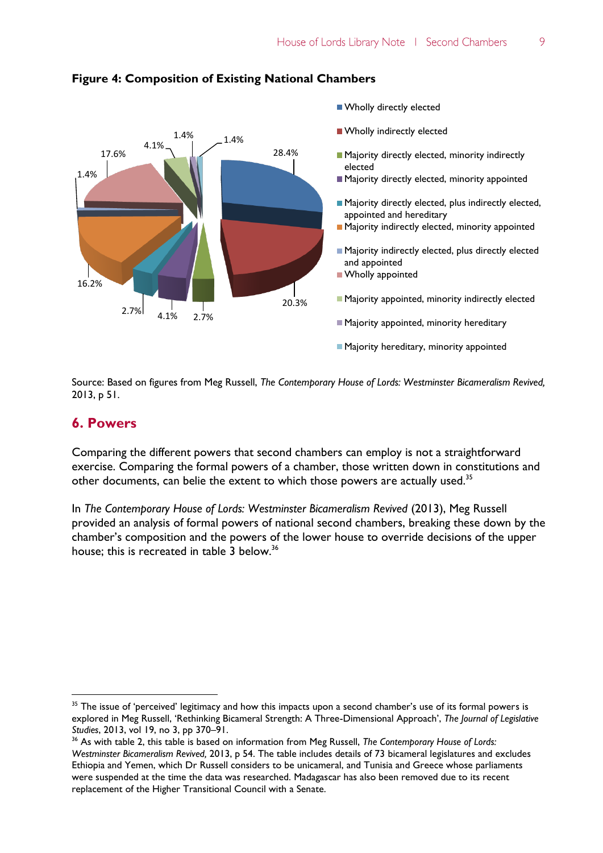

#### **Figure 4: Composition of Existing National Chambers**

Source: Based on figures from Meg Russell, *The Contemporary House of Lords: Westminster Bicameralism Revived,*  2013, p 51.

#### **6. Powers**

 $\overline{a}$ 

Comparing the different powers that second chambers can employ is not a straightforward exercise. Comparing the formal powers of a chamber, those written down in constitutions and other documents, can belie the extent to which those powers are actually used.<sup>35</sup>

In *The Contemporary House of Lords: Westminster Bicameralism Revived* (2013), Meg Russell provided an analysis of formal powers of national second chambers, breaking these down by the chamber's composition and the powers of the lower house to override decisions of the upper house; this is recreated in table 3 below.<sup>36</sup>

<sup>&</sup>lt;sup>35</sup> The issue of 'perceived' legitimacy and how this impacts upon a second chamber's use of its formal powers is explored in Meg Russell, 'Rethinking Bicameral Strength: A Three-Dimensional Approach', *The Journal of Legislative Studies*, 2013, vol 19, no 3, pp 370–91.

<sup>36</sup> As with table 2, this table is based on information from Meg Russell, *The Contemporary House of Lords: Westminster Bicameralism Revived,* 2013, p 54. The table includes details of 73 bicameral legislatures and excludes Ethiopia and Yemen, which Dr Russell considers to be unicameral, and Tunisia and Greece whose parliaments were suspended at the time the data was researched. Madagascar has also been removed due to its recent replacement of the Higher Transitional Council with a Senate.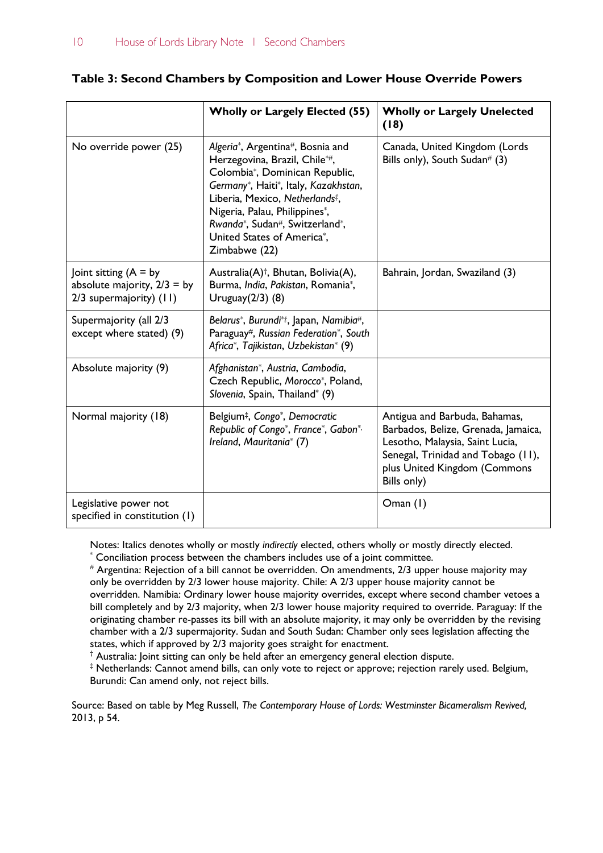#### **Table 3: Second Chambers by Composition and Lower House Override Powers**

|                                                                                    | <b>Wholly or Largely Elected (55)</b>                                                                                                                                                                                                                                                                        | <b>Wholly or Largely Unelected</b><br>(18)                                                                                                                                                   |
|------------------------------------------------------------------------------------|--------------------------------------------------------------------------------------------------------------------------------------------------------------------------------------------------------------------------------------------------------------------------------------------------------------|----------------------------------------------------------------------------------------------------------------------------------------------------------------------------------------------|
| No override power (25)                                                             | Algeria*, Argentina#, Bosnia and<br>Herzegovina, Brazil, Chile*#,<br>Colombia*, Dominican Republic,<br>Germany*, Haiti*, Italy, Kazakhstan,<br>Liberia, Mexico, Netherlands <sup>#</sup> ,<br>Nigeria, Palau, Philippines*,<br>Rwanda*, Sudan#, Switzerland*,<br>United States of America*,<br>Zimbabwe (22) | Canada, United Kingdom (Lords<br>Bills only), South Sudan# $(3)$                                                                                                                             |
| oint sitting $(A = by$<br>absolute majority, $2/3 = by$<br>2/3 supermajority) (11) | Australia(A) <sup>†</sup> , Bhutan, Bolivia(A),<br>Burma, India, Pakistan, Romania*,<br>Uruguay $(2/3)$ $(8)$                                                                                                                                                                                                | Bahrain, Jordan, Swaziland (3)                                                                                                                                                               |
| Supermajority (all 2/3<br>except where stated) (9)                                 | Belarus*, Burundi*‡, Japan, Namibia#,<br>Paraguay#, Russian Federation*, South<br>Africa*, Tajikistan, Uzbekistan* (9)                                                                                                                                                                                       |                                                                                                                                                                                              |
| Absolute majority (9)                                                              | Afghanistan*, Austria, Cambodia,<br>Czech Republic, Morocco*, Poland,<br>Slovenia, Spain, Thailand* (9)                                                                                                                                                                                                      |                                                                                                                                                                                              |
| Normal majority (18)                                                               | Belgium <sup>‡</sup> , Congo <sup>*</sup> , Democratic<br>Republic of Congo*, France*, Gabon*,<br>Ireland, Mauritania* (7)                                                                                                                                                                                   | Antigua and Barbuda, Bahamas,<br>Barbados, Belize, Grenada, Jamaica,<br>Lesotho, Malaysia, Saint Lucia,<br>Senegal, Trinidad and Tobago (11),<br>plus United Kingdom (Commons<br>Bills only) |
| Legislative power not<br>specified in constitution (1)                             |                                                                                                                                                                                                                                                                                                              | Oman $(1)$                                                                                                                                                                                   |

Notes: Italics denotes wholly or mostly *indirectly* elected, others wholly or mostly directly elected.

Conciliation process between the chambers includes use of a joint committee.

 $*$  Argentina: Rejection of a bill cannot be overridden. On amendments, 2/3 upper house majority may only be overridden by 2/3 lower house majority. Chile: A 2/3 upper house majority cannot be overridden. Namibia: Ordinary lower house majority overrides, except where second chamber vetoes a bill completely and by 2/3 majority, when 2/3 lower house majority required to override. Paraguay: If the originating chamber re-passes its bill with an absolute majority, it may only be overridden by the revising chamber with a 2/3 supermajority. Sudan and South Sudan: Chamber only sees legislation affecting the states, which if approved by 2/3 majority goes straight for enactment.

† Australia: Joint sitting can only be held after an emergency general election dispute.

‡ Netherlands: Cannot amend bills, can only vote to reject or approve; rejection rarely used. Belgium, Burundi: Can amend only, not reject bills.

Source: Based on table by Meg Russell, *The Contemporary House of Lords: Westminster Bicameralism Revived,* 2013, p 54.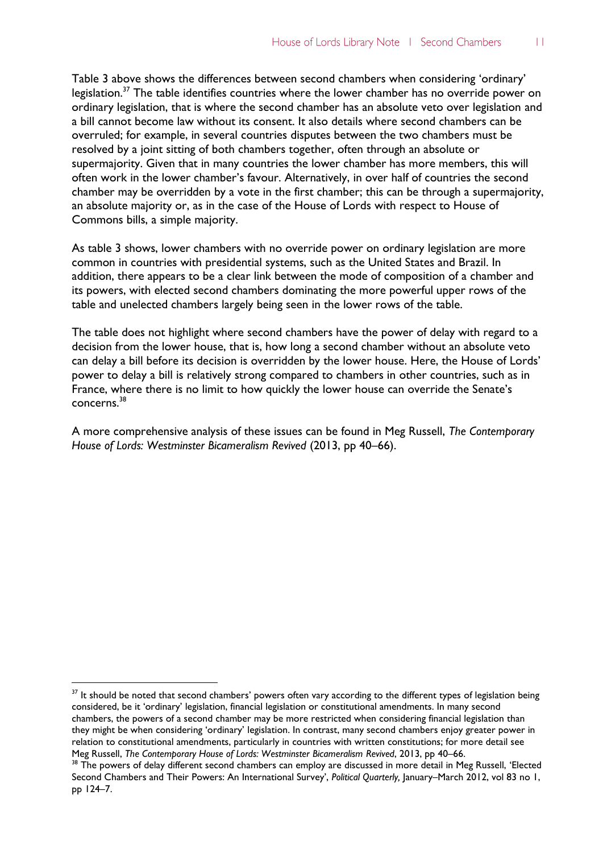Table 3 above shows the differences between second chambers when considering 'ordinary' legislation.<sup>37</sup> The table identifies countries where the lower chamber has no override power on ordinary legislation, that is where the second chamber has an absolute veto over legislation and a bill cannot become law without its consent. It also details where second chambers can be overruled; for example, in several countries disputes between the two chambers must be resolved by a joint sitting of both chambers together, often through an absolute or supermajority. Given that in many countries the lower chamber has more members, this will often work in the lower chamber's favour. Alternatively, in over half of countries the second chamber may be overridden by a vote in the first chamber; this can be through a supermajority, an absolute majority or, as in the case of the House of Lords with respect to House of Commons bills, a simple majority.

As table 3 shows, lower chambers with no override power on ordinary legislation are more common in countries with presidential systems, such as the United States and Brazil. In addition, there appears to be a clear link between the mode of composition of a chamber and its powers, with elected second chambers dominating the more powerful upper rows of the table and unelected chambers largely being seen in the lower rows of the table.

The table does not highlight where second chambers have the power of delay with regard to a decision from the lower house, that is, how long a second chamber without an absolute veto can delay a bill before its decision is overridden by the lower house. Here, the House of Lords' power to delay a bill is relatively strong compared to chambers in other countries, such as in France, where there is no limit to how quickly the lower house can override the Senate's concerns.<sup>38</sup>

A more comprehensive analysis of these issues can be found in Meg Russell, *The Contemporary House of Lords: Westminster Bicameralism Revived* (2013, pp 40–66).

<sup>&</sup>lt;sup>37</sup> It should be noted that second chambers' powers often vary according to the different types of legislation being considered, be it 'ordinary' legislation, financial legislation or constitutional amendments. In many second chambers, the powers of a second chamber may be more restricted when considering financial legislation than they might be when considering 'ordinary' legislation. In contrast, many second chambers enjoy greater power in relation to constitutional amendments, particularly in countries with written constitutions; for more detail see Meg Russell, *The Contemporary House of Lords: Westminster Bicameralism Revived*, 2013, pp 40–66.

<sup>&</sup>lt;sup>38</sup> The powers of delay different second chambers can employ are discussed in more detail in Meg Russell, 'Elected Second Chambers and Their Powers: An International Survey', *Political Quarterly,* January–March 2012, vol 83 no 1, pp 124–7.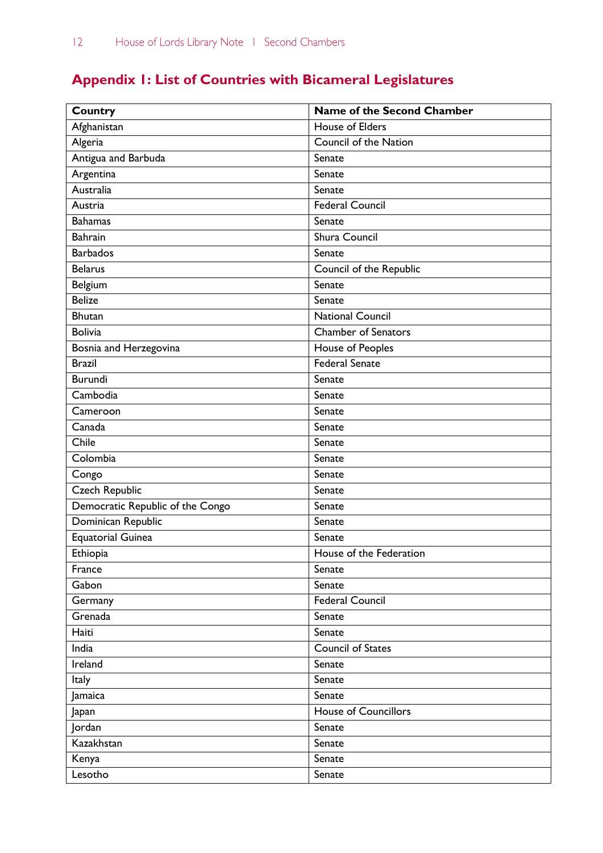# **Appendix 1: List of Countries with Bicameral Legislatures**

| <b>Country</b>                   | Name of the Second Chamber  |
|----------------------------------|-----------------------------|
| Afghanistan                      | <b>House of Elders</b>      |
| Algeria                          | Council of the Nation       |
| Antigua and Barbuda              | Senate                      |
| Argentina                        | Senate                      |
| Australia                        | Senate                      |
| Austria                          | <b>Federal Council</b>      |
| <b>Bahamas</b>                   | Senate                      |
| <b>Bahrain</b>                   | Shura Council               |
| <b>Barbados</b>                  | Senate                      |
| <b>Belarus</b>                   | Council of the Republic     |
| Belgium                          | Senate                      |
| <b>Belize</b>                    | Senate                      |
| <b>Bhutan</b>                    | <b>National Council</b>     |
| <b>Bolivia</b>                   | <b>Chamber of Senators</b>  |
| Bosnia and Herzegovina           | House of Peoples            |
| <b>Brazil</b>                    | <b>Federal Senate</b>       |
| <b>Burundi</b>                   | Senate                      |
| Cambodia                         | Senate                      |
| Cameroon                         | Senate                      |
| Canada                           | Senate                      |
| Chile                            | Senate                      |
| Colombia                         | Senate                      |
| Congo                            | Senate                      |
| Czech Republic                   | Senate                      |
| Democratic Republic of the Congo | Senate                      |
| Dominican Republic               | Senate                      |
| <b>Equatorial Guinea</b>         | Senate                      |
| Ethiopia                         | House of the Federation     |
| France                           | Senate                      |
| Gabon                            | Senate                      |
| Germany                          | Federal Council             |
| Grenada                          | Senate                      |
| Haiti                            | Senate                      |
| India                            | <b>Council of States</b>    |
| Ireland                          | Senate                      |
| <b>Italy</b>                     | Senate                      |
| Jamaica                          | Senate                      |
| Japan                            | <b>House of Councillors</b> |
| Jordan                           | Senate                      |
| Kazakhstan                       | Senate                      |
| Kenya                            | Senate                      |
| Lesotho                          | Senate                      |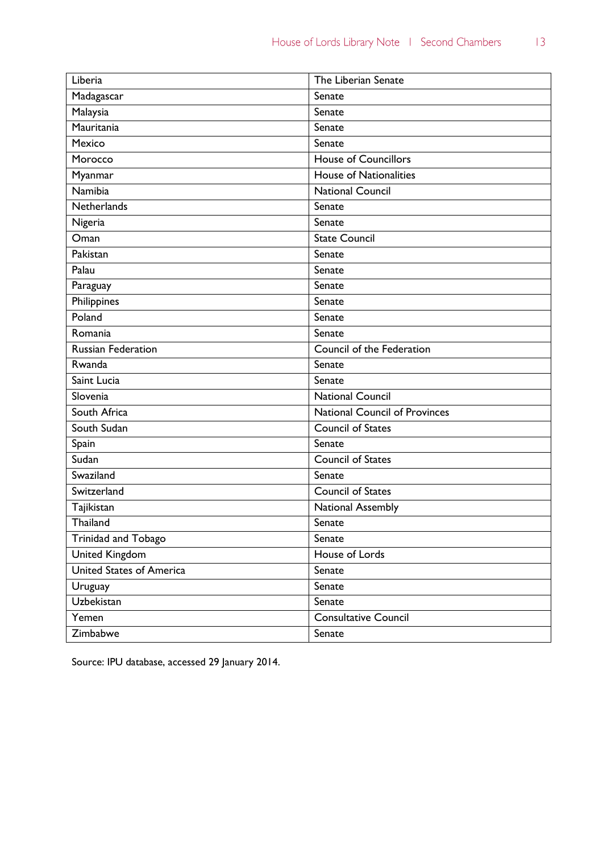| Liberia                         | The Liberian Senate                  |
|---------------------------------|--------------------------------------|
| Madagascar                      | Senate                               |
| Malaysia                        | Senate                               |
| Mauritania                      | Senate                               |
| Mexico                          | Senate                               |
| Morocco                         | <b>House of Councillors</b>          |
| Myanmar                         | <b>House of Nationalities</b>        |
| Namibia                         | National Council                     |
| Netherlands                     | Senate                               |
| Nigeria                         | Senate                               |
| Oman                            | <b>State Council</b>                 |
| Pakistan                        | Senate                               |
| Palau                           | Senate                               |
| Paraguay                        | Senate                               |
| Philippines                     | Senate                               |
| Poland                          | Senate                               |
| Romania                         | Senate                               |
| <b>Russian Federation</b>       | Council of the Federation            |
| Rwanda                          | Senate                               |
| Saint Lucia                     | Senate                               |
| Slovenia                        | <b>National Council</b>              |
| South Africa                    | <b>National Council of Provinces</b> |
| South Sudan                     | <b>Council of States</b>             |
| Spain                           | Senate                               |
| Sudan                           | Council of States                    |
| Swaziland                       | Senate                               |
| Switzerland                     | <b>Council of States</b>             |
| Tajikistan                      | National Assembly                    |
| Thailand                        | Senate                               |
| Trinidad and Tobago             | Senate                               |
| <b>United Kingdom</b>           | House of Lords                       |
| <b>United States of America</b> | Senate                               |
| Uruguay                         | Senate                               |
| Uzbekistan                      | Senate                               |
| Yemen                           | <b>Consultative Council</b>          |
| Zimbabwe                        | Senate                               |

Source: IPU database, accessed 29 January 2014.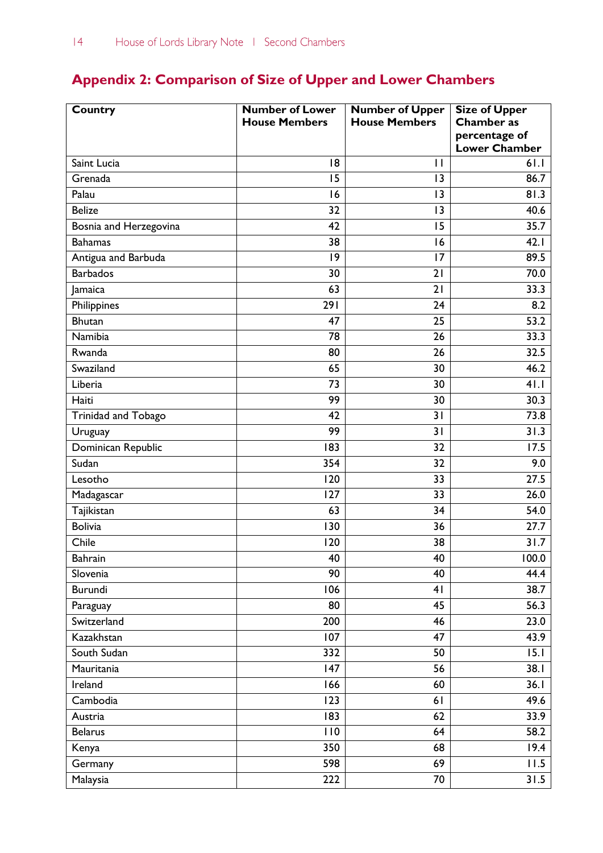## **Appendix 2: Comparison of Size of Upper and Lower Chambers**

| Country                | <b>Number of Lower</b> | <b>Number of Upper</b> | <b>Size of Upper</b>                  |
|------------------------|------------------------|------------------------|---------------------------------------|
|                        | <b>House Members</b>   | <b>House Members</b>   | <b>Chamber</b> as                     |
|                        |                        |                        | percentage of<br><b>Lower Chamber</b> |
| Saint Lucia            | 18                     | $\mathbf{H}$           | 61.1                                  |
| Grenada                | 15                     | 13                     | 86.7                                  |
| Palau                  | 16                     | 13                     | 81.3                                  |
| <b>Belize</b>          | 32                     | 13                     | 40.6                                  |
| Bosnia and Herzegovina | 42                     | 15                     | 35.7                                  |
| <b>Bahamas</b>         | 38                     | 16                     | 42.1                                  |
| Antigua and Barbuda    | 9                      | 17                     | 89.5                                  |
| <b>Barbados</b>        | 30                     | 21                     | 70.0                                  |
| Jamaica                | 63                     | 21                     | 33.3                                  |
| Philippines            | 291                    | 24                     | 8.2                                   |
| <b>Bhutan</b>          | 47                     | 25                     | 53.2                                  |
| Namibia                | 78                     | 26                     | 33.3                                  |
| Rwanda                 | 80                     | 26                     | 32.5                                  |
| Swaziland              | 65                     | 30                     | 46.2                                  |
| Liberia                | 73                     | 30                     | 41.1                                  |
| Haiti                  | 99                     | 30                     | 30.3                                  |
| Trinidad and Tobago    | 42                     | 31                     | 73.8                                  |
| Uruguay                | 99                     | 31                     | 31.3                                  |
| Dominican Republic     | 183                    | 32                     | 17.5                                  |
| Sudan                  | 354                    | 32                     | 9.0                                   |
| Lesotho                | 120                    | 33                     | 27.5                                  |
| Madagascar             | 127                    | 33                     | 26.0                                  |
| Tajikistan             | 63                     | 34                     | 54.0                                  |
| <b>Bolivia</b>         | 130                    | 36                     | 27.7                                  |
| Chile                  | 120                    | 38                     | 31.7                                  |
| <b>Bahrain</b>         | 40                     | 40                     | 100.0                                 |
| Slovenia               | 90                     | 40                     | 44.4                                  |
| Burundi                | 106                    | 4 <sub>1</sub>         | 38.7                                  |
| Paraguay               | 80                     | 45                     | 56.3                                  |
| Switzerland            | 200                    | 46                     | 23.0                                  |
| Kazakhstan             | 107                    | 47                     | 43.9                                  |
| South Sudan            | 332                    | 50                     | 15.1                                  |
| Mauritania             | 147                    | 56                     | 38.1                                  |
| Ireland                | 166                    | 60                     | 36.1                                  |
| Cambodia               | 123                    | 61                     | 49.6                                  |
| Austria                | 183                    | 62                     | 33.9                                  |
| <b>Belarus</b>         | 110                    | 64                     | 58.2                                  |
| Kenya                  | 350                    | 68                     | 19.4                                  |
| Germany                | 598                    | 69                     | 11.5                                  |
| Malaysia               | 222                    | 70                     | 31.5                                  |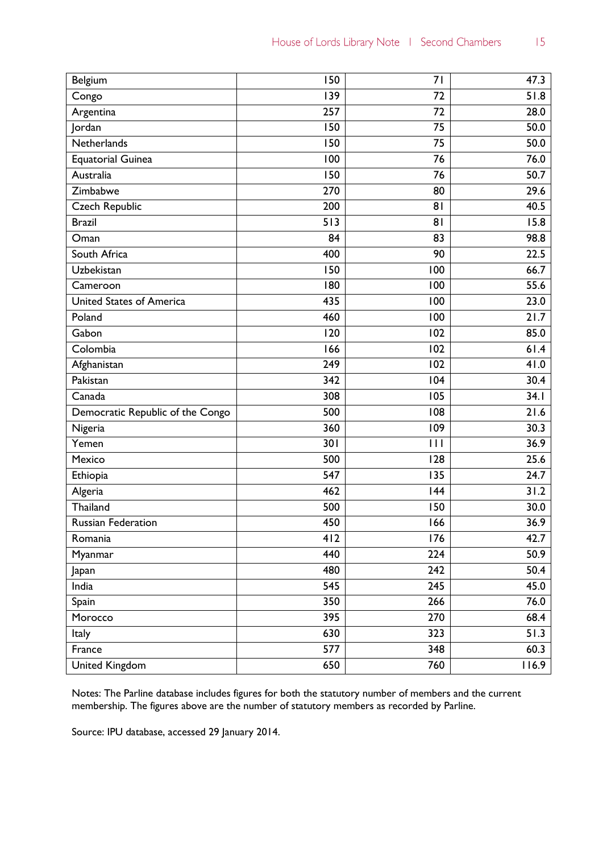| Belgium                          | 150              | 71  | 47.3  |
|----------------------------------|------------------|-----|-------|
| Congo                            | 139              | 72  | 51.8  |
| Argentina                        | 257              | 72  | 28.0  |
| Jordan                           | 150              | 75  | 50.0  |
| Netherlands                      | 150              | 75  | 50.0  |
| <b>Equatorial Guinea</b>         | 100              | 76  | 76.0  |
| Australia                        | 150              | 76  | 50.7  |
| Zimbabwe                         | 270              | 80  | 29.6  |
| Czech Republic                   | 200              | 81  | 40.5  |
| <b>Brazil</b>                    | 513              | 81  | 15.8  |
| Oman                             | 84               | 83  | 98.8  |
| South Africa                     | 400              | 90  | 22.5  |
| Uzbekistan                       | 150              | 100 | 66.7  |
| Cameroon                         | 180              | 100 | 55.6  |
| United States of America         | 435              | 100 | 23.0  |
| Poland                           | 460              | 100 | 21.7  |
| Gabon                            | 120              | 102 | 85.0  |
| Colombia                         | 166              | 102 | 61.4  |
| Afghanistan                      | 249              | 102 | 41.0  |
| Pakistan                         | 342              | 104 | 30.4  |
| Canada                           | 308              | 105 | 34.1  |
| Democratic Republic of the Congo | 500              | 108 | 21.6  |
| Nigeria                          | 360              | 109 | 30.3  |
| Yemen                            | 301              | Ш   | 36.9  |
| Mexico                           | 500              | 128 | 25.6  |
| Ethiopia                         | 547              | 135 | 24.7  |
| Algeria                          | 462              | 144 | 31.2  |
| Thailand                         | 500              | 150 | 30.0  |
| <b>Russian Federation</b>        | 450              | 166 | 36.9  |
| Romania                          | 412              | 176 | 42.7  |
| Myanmar                          | 440              | 224 | 50.9  |
| Japan                            | 480              | 242 | 50.4  |
| India                            | 545              | 245 | 45.0  |
| Spain                            | 350              | 266 | 76.0  |
| Morocco                          | 395              | 270 | 68.4  |
| Italy                            | 630              | 323 | 51.3  |
| France                           | $\overline{577}$ | 348 | 60.3  |
| <b>United Kingdom</b>            | 650              | 760 | 116.9 |

Notes: The Parline database includes figures for both the statutory number of members and the current membership. The figures above are the number of statutory members as recorded by Parline.

Source: IPU database, accessed 29 January 2014.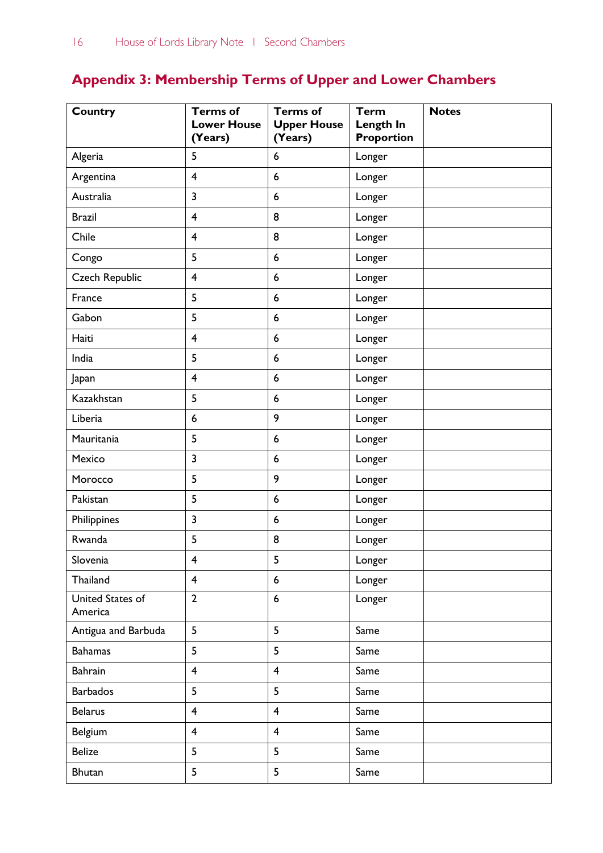# **Appendix 3: Membership Terms of Upper and Lower Chambers**

| <b>Country</b>              | <b>Terms of</b><br><b>Lower House</b><br>(Years) | <b>Terms of</b><br><b>Upper House</b><br>(Years) | <b>Term</b><br>Length In<br><b>Proportion</b> | <b>Notes</b> |
|-----------------------------|--------------------------------------------------|--------------------------------------------------|-----------------------------------------------|--------------|
| Algeria                     | 5                                                | $6\phantom{1}6$                                  | Longer                                        |              |
| Argentina                   | $\overline{\mathbf{4}}$                          | 6                                                | Longer                                        |              |
| Australia                   | $\overline{\mathbf{3}}$                          | $6\phantom{1}6$                                  | Longer                                        |              |
| <b>Brazil</b>               | $\overline{\mathbf{4}}$                          | 8                                                | Longer                                        |              |
| Chile                       | $\overline{\mathbf{4}}$                          | 8                                                | Longer                                        |              |
| Congo                       | 5                                                | $\boldsymbol{6}$                                 | Longer                                        |              |
| <b>Czech Republic</b>       | $\overline{\mathbf{4}}$                          | $6\phantom{1}6$                                  | Longer                                        |              |
| France                      | 5                                                | $6\phantom{1}6$                                  | Longer                                        |              |
| Gabon                       | 5                                                | $\boldsymbol{6}$                                 | Longer                                        |              |
| Haiti                       | $\overline{\mathbf{4}}$                          | $6\phantom{1}6$                                  | Longer                                        |              |
| India                       | 5                                                | $6\phantom{1}6$                                  | Longer                                        |              |
| Japan                       | $\overline{\mathbf{4}}$                          | $\boldsymbol{6}$                                 | Longer                                        |              |
| Kazakhstan                  | 5                                                | $6\phantom{1}6$                                  | Longer                                        |              |
| Liberia                     | $\boldsymbol{6}$                                 | 9                                                | Longer                                        |              |
| Mauritania                  | 5                                                | $6\phantom{1}6$                                  | Longer                                        |              |
| Mexico                      | 3                                                | $6\phantom{1}6$                                  | Longer                                        |              |
| Morocco                     | 5                                                | 9                                                | Longer                                        |              |
| Pakistan                    | 5                                                | $6\phantom{1}6$                                  | Longer                                        |              |
| Philippines                 | 3                                                | $6\phantom{1}6$                                  | Longer                                        |              |
| Rwanda                      | 5                                                | 8                                                | Longer                                        |              |
| Slovenia                    | 4                                                | 5                                                | Longer                                        |              |
| Thailand                    | $\overline{4}$                                   | 6                                                | Longer                                        |              |
| United States of<br>America | $\overline{2}$                                   | $\boldsymbol{6}$                                 | Longer                                        |              |
| Antigua and Barbuda         | 5                                                | 5                                                | Same                                          |              |
| <b>Bahamas</b>              | 5                                                | 5                                                | Same                                          |              |
| Bahrain                     | $\overline{4}$                                   | $\overline{4}$                                   | Same                                          |              |
| <b>Barbados</b>             | 5                                                | 5                                                | Same                                          |              |
| <b>Belarus</b>              | $\overline{\mathbf{4}}$                          | $\overline{\mathbf{4}}$                          | Same                                          |              |
| Belgium                     | $\overline{\mathbf{4}}$                          | $\overline{\mathbf{4}}$                          | Same                                          |              |
| <b>Belize</b>               | 5                                                | 5                                                | Same                                          |              |
| <b>Bhutan</b>               | 5                                                | 5                                                | Same                                          |              |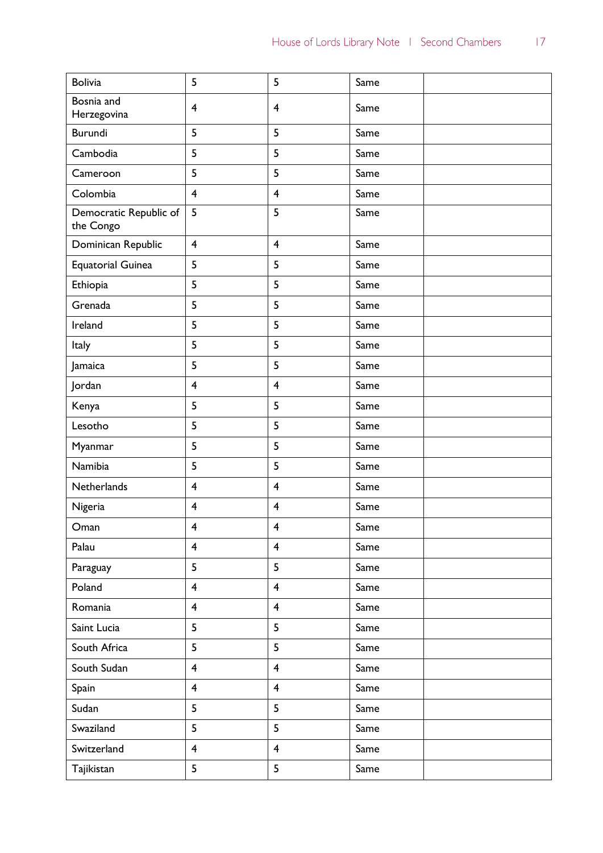| <b>Bolivia</b>                      | 5                       | 5                       | Same |  |
|-------------------------------------|-------------------------|-------------------------|------|--|
| Bosnia and<br>Herzegovina           | $\overline{\mathbf{4}}$ | $\overline{4}$          | Same |  |
| <b>Burundi</b>                      | 5                       | 5                       | Same |  |
| Cambodia                            | 5                       | 5                       | Same |  |
| Cameroon                            | 5                       | 5                       | Same |  |
| Colombia                            | $\overline{\mathbf{4}}$ | $\overline{\mathbf{4}}$ | Same |  |
| Democratic Republic of<br>the Congo | 5                       | 5                       | Same |  |
| Dominican Republic                  | $\overline{\mathbf{4}}$ | $\overline{\mathbf{4}}$ | Same |  |
| <b>Equatorial Guinea</b>            | 5                       | 5                       | Same |  |
| Ethiopia                            | 5                       | 5                       | Same |  |
| Grenada                             | 5                       | 5                       | Same |  |
| Ireland                             | 5                       | 5                       | Same |  |
| Italy                               | 5                       | 5                       | Same |  |
| Jamaica                             | 5                       | 5                       | Same |  |
| Jordan                              | $\overline{\mathbf{4}}$ | $\overline{\mathbf{4}}$ | Same |  |
| Kenya                               | 5                       | 5                       | Same |  |
| Lesotho                             | 5                       | 5                       | Same |  |
| Myanmar                             | 5                       | 5                       | Same |  |
| Namibia                             | 5                       | 5                       | Same |  |
| Netherlands                         | $\overline{\mathbf{4}}$ | $\overline{\mathbf{4}}$ | Same |  |
| Nigeria                             | $\overline{4}$          | $\overline{\mathbf{4}}$ | Same |  |
| Oman                                | $\overline{\mathbf{4}}$ | $\overline{\mathbf{4}}$ | Same |  |
| Palau                               | $\overline{4}$          | $\overline{4}$          | Same |  |
| Paraguay                            | 5                       | 5                       | Same |  |
| Poland                              | $\overline{\mathbf{4}}$ | $\overline{\mathbf{4}}$ | Same |  |
| Romania                             | $\overline{4}$          | $\overline{4}$          | Same |  |
| Saint Lucia                         | 5                       | 5                       | Same |  |
| South Africa                        | 5                       | 5                       | Same |  |
| South Sudan                         | $\overline{4}$          | $\overline{\mathbf{4}}$ | Same |  |
| Spain                               | $\overline{4}$          | $\overline{4}$          | Same |  |
| Sudan                               | 5                       | 5                       | Same |  |
| Swaziland                           | 5                       | 5                       | Same |  |
| Switzerland                         | $\overline{4}$          | $\overline{\mathbf{4}}$ | Same |  |
| Tajikistan                          | 5                       | 5                       | Same |  |
|                                     |                         |                         |      |  |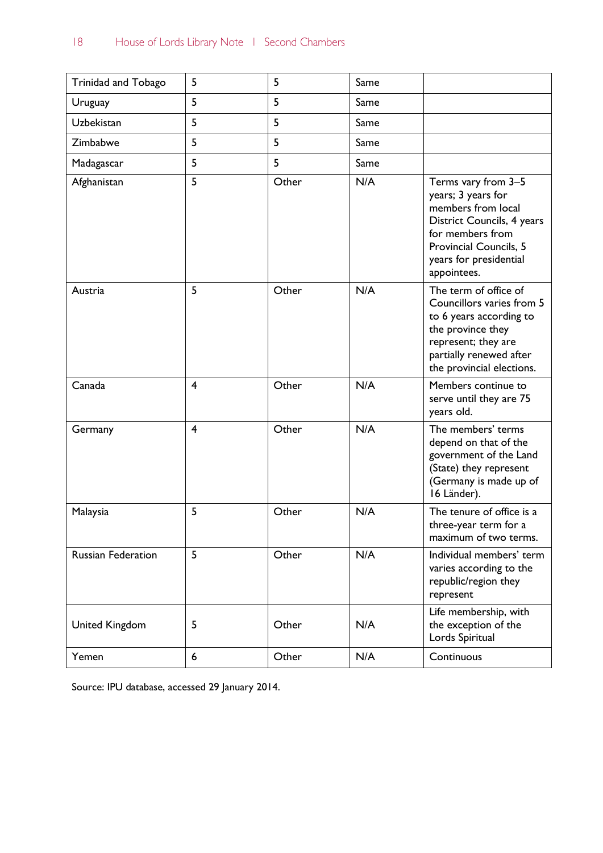| Trinidad and Tobago       | 5              | 5     | Same |                                                                                                                                                                                      |
|---------------------------|----------------|-------|------|--------------------------------------------------------------------------------------------------------------------------------------------------------------------------------------|
| Uruguay                   | 5              | 5     | Same |                                                                                                                                                                                      |
| <b>Uzbekistan</b>         | 5              | 5     | Same |                                                                                                                                                                                      |
| Zimbabwe                  | 5              | 5     | Same |                                                                                                                                                                                      |
| Madagascar                | 5              | 5     | Same |                                                                                                                                                                                      |
| Afghanistan               | 5              | Other | N/A  | Terms vary from 3-5<br>years; 3 years for<br>members from local<br>District Councils, 4 years<br>for members from<br>Provincial Councils, 5<br>years for presidential<br>appointees. |
| Austria                   | 5              | Other | N/A  | The term of office of<br>Councillors varies from 5<br>to 6 years according to<br>the province they<br>represent; they are<br>partially renewed after<br>the provincial elections.    |
| Canada                    | 4              | Other | N/A  | Members continue to<br>serve until they are 75<br>years old.                                                                                                                         |
| Germany                   | $\overline{4}$ | Other | N/A  | The members' terms<br>depend on that of the<br>government of the Land<br>(State) they represent<br>(Germany is made up of<br>16 Länder).                                             |
| Malaysia                  | 5              | Other | N/A  | The tenure of office is a<br>three-year term for a<br>maximum of two terms.                                                                                                          |
| <b>Russian Federation</b> | 5              | Other | N/A  | Individual members' term<br>varies according to the<br>republic/region they<br>represent                                                                                             |
| <b>United Kingdom</b>     | 5              | Other | N/A  | Life membership, with<br>the exception of the<br>Lords Spiritual                                                                                                                     |
| Yemen                     | 6              | Other | N/A  | Continuous                                                                                                                                                                           |

Source: IPU database, accessed 29 January 2014.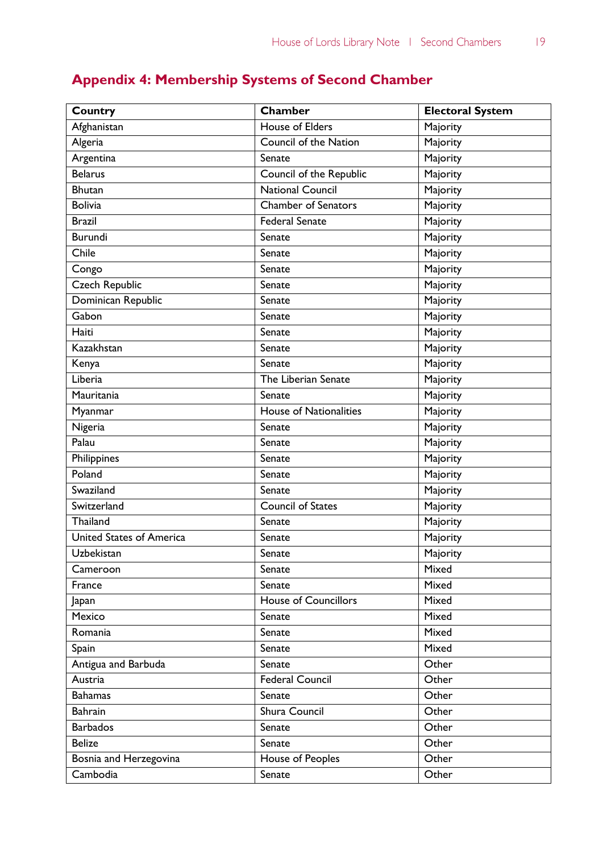## **Appendix 4: Membership Systems of Second Chamber**

| Country                         | Chamber                       | <b>Electoral System</b> |
|---------------------------------|-------------------------------|-------------------------|
| Afghanistan                     | House of Elders               | Majority                |
| Algeria                         | Council of the Nation         | Majority                |
| Argentina                       | Senate                        | Majority                |
| <b>Belarus</b>                  | Council of the Republic       | Majority                |
| <b>Bhutan</b>                   | <b>National Council</b>       | Majority                |
| <b>Bolivia</b>                  | <b>Chamber of Senators</b>    | Majority                |
| <b>Brazil</b>                   | <b>Federal Senate</b>         | Majority                |
| <b>Burundi</b>                  | Senate                        | Majority                |
| Chile                           | Senate                        | Majority                |
| Congo                           | Senate                        | Majority                |
| Czech Republic                  | Senate                        | Majority                |
| Dominican Republic              | Senate                        | Majority                |
| Gabon                           | Senate                        | Majority                |
| Haiti                           | Senate                        | Majority                |
| Kazakhstan                      | Senate                        | Majority                |
| Kenya                           | Senate                        | Majority                |
| Liberia                         | The Liberian Senate           | Majority                |
| Mauritania                      | Senate                        | Majority                |
| Myanmar                         | <b>House of Nationalities</b> | Majority                |
| Nigeria                         | Senate                        | Majority                |
| Palau                           | Senate                        | Majority                |
| Philippines                     | Senate                        | Majority                |
| Poland                          | Senate                        | Majority                |
| Swaziland                       | Senate                        | Majority                |
| Switzerland                     | <b>Council of States</b>      | Majority                |
| Thailand                        | Senate                        | Majority                |
| <b>United States of America</b> | Senate                        | Majority                |
| Uzbekistan                      | Senate                        | Majority                |
| Cameroon                        | Senate                        | Mixed                   |
| France                          | Senate                        | Mixed                   |
| Japan                           | <b>House of Councillors</b>   | Mixed                   |
| Mexico                          | Senate                        | Mixed                   |
| Romania                         | Senate                        | Mixed                   |
| Spain                           | Senate                        | Mixed                   |
| Antigua and Barbuda             | Senate                        | Other                   |
| Austria                         | Federal Council               | Other                   |
| <b>Bahamas</b>                  | Senate                        | Other                   |
| <b>Bahrain</b>                  | Shura Council                 | Other                   |
| <b>Barbados</b>                 | Senate                        | Other                   |
| <b>Belize</b>                   | Senate                        | Other                   |
| Bosnia and Herzegovina          | House of Peoples              | Other                   |
| Cambodia                        | Senate                        | Other                   |